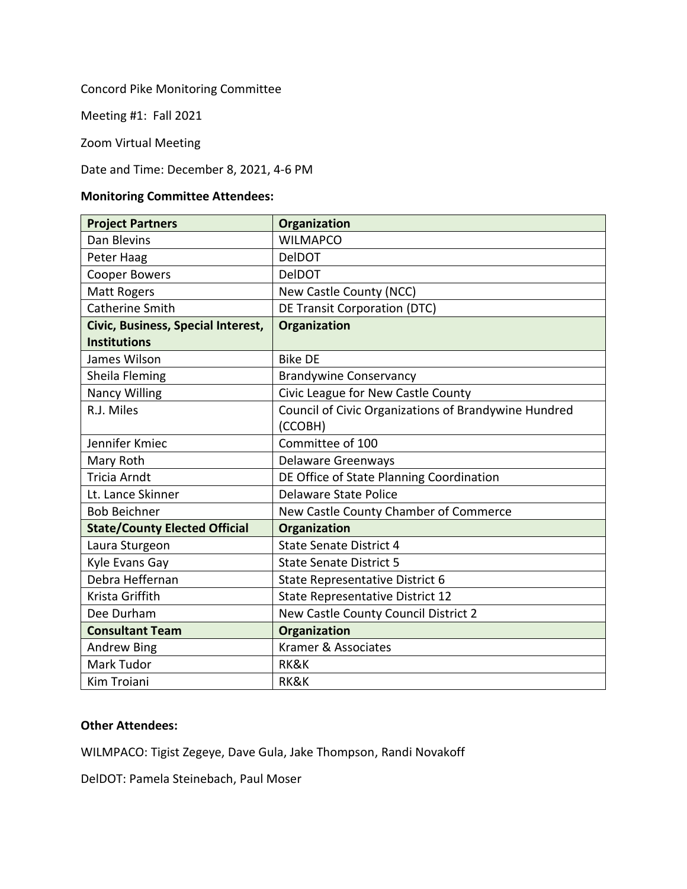Concord Pike Monitoring Committee

Meeting #1: Fall 2021

Zoom Virtual Meeting

## Date and Time: December 8, 2021, 4-6 PM

## **Monitoring Committee Attendees:**

| <b>Project Partners</b>              | <b>Organization</b>                                  |
|--------------------------------------|------------------------------------------------------|
| Dan Blevins                          | <b>WILMAPCO</b>                                      |
| Peter Haag                           | <b>DelDOT</b>                                        |
| <b>Cooper Bowers</b>                 | <b>DelDOT</b>                                        |
| <b>Matt Rogers</b>                   | New Castle County (NCC)                              |
| <b>Catherine Smith</b>               | <b>DE Transit Corporation (DTC)</b>                  |
| Civic, Business, Special Interest,   | <b>Organization</b>                                  |
| <b>Institutions</b>                  |                                                      |
| James Wilson                         | <b>Bike DE</b>                                       |
| Sheila Fleming                       | <b>Brandywine Conservancy</b>                        |
| <b>Nancy Willing</b>                 | Civic League for New Castle County                   |
| R.J. Miles                           | Council of Civic Organizations of Brandywine Hundred |
|                                      | (CCOBH)                                              |
| Jennifer Kmiec                       | Committee of 100                                     |
| Mary Roth                            | <b>Delaware Greenways</b>                            |
| Tricia Arndt                         | DE Office of State Planning Coordination             |
| Lt. Lance Skinner                    | Delaware State Police                                |
| <b>Bob Beichner</b>                  | New Castle County Chamber of Commerce                |
| <b>State/County Elected Official</b> | Organization                                         |
| Laura Sturgeon                       | <b>State Senate District 4</b>                       |
| Kyle Evans Gay                       | <b>State Senate District 5</b>                       |
| Debra Heffernan                      | State Representative District 6                      |
| Krista Griffith                      | State Representative District 12                     |
| Dee Durham                           | New Castle County Council District 2                 |
| <b>Consultant Team</b>               | Organization                                         |
| <b>Andrew Bing</b>                   | Kramer & Associates                                  |
| Mark Tudor                           | RK&K                                                 |
| Kim Troiani                          | RK&K                                                 |

## **Other Attendees:**

WILMPACO: Tigist Zegeye, Dave Gula, Jake Thompson, Randi Novakoff

DelDOT: Pamela Steinebach, Paul Moser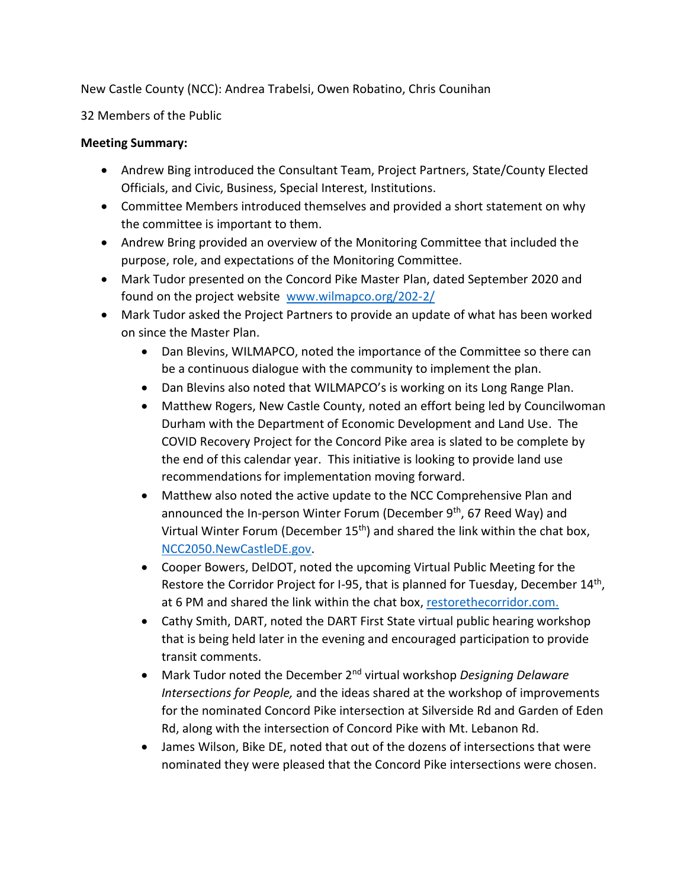New Castle County (NCC): Andrea Trabelsi, Owen Robatino, Chris Counihan

32 Members of the Public

## **Meeting Summary:**

- Andrew Bing introduced the Consultant Team, Project Partners, State/County Elected Officials, and Civic, Business, Special Interest, Institutions.
- Committee Members introduced themselves and provided a short statement on why the committee is important to them.
- Andrew Bring provided an overview of the Monitoring Committee that included the purpose, role, and expectations of the Monitoring Committee.
- Mark Tudor presented on the Concord Pike Master Plan, dated September 2020 and found on the project website [www.wilmapco.org/202-2/](http://www.wilmapco.org/202-2/)
- Mark Tudor asked the Project Partners to provide an update of what has been worked on since the Master Plan.
	- Dan Blevins, WILMAPCO, noted the importance of the Committee so there can be a continuous dialogue with the community to implement the plan.
	- Dan Blevins also noted that WILMAPCO's is working on its Long Range Plan.
	- Matthew Rogers, New Castle County, noted an effort being led by Councilwoman Durham with the Department of Economic Development and Land Use. The COVID Recovery Project for the Concord Pike area is slated to be complete by the end of this calendar year. This initiative is looking to provide land use recommendations for implementation moving forward.
	- Matthew also noted the active update to the NCC Comprehensive Plan and announced the In-person Winter Forum (December 9<sup>th</sup>, 67 Reed Way) and Virtual Winter Forum (December 15<sup>th</sup>) and shared the link within the chat box, [NCC2050.NewCastleDE.gov.](https://ncc2050-nccde.hub.arcgis.com/)
	- Cooper Bowers, DelDOT, noted the upcoming Virtual Public Meeting for the Restore the Corridor Project for I-95, that is planned for Tuesday, December 14<sup>th</sup>, at 6 PM and shared the link within the chat box, [restorethecorridor.com.](https://restorethecorridor.com/)
	- Cathy Smith, DART, noted the DART First State virtual public hearing workshop that is being held later in the evening and encouraged participation to provide transit comments.
	- Mark Tudor noted the December 2nd virtual workshop *Designing Delaware Intersections for People,* and the ideas shared at the workshop of improvements for the nominated Concord Pike intersection at Silverside Rd and Garden of Eden Rd, along with the intersection of Concord Pike with Mt. Lebanon Rd.
	- James Wilson, Bike DE, noted that out of the dozens of intersections that were nominated they were pleased that the Concord Pike intersections were chosen.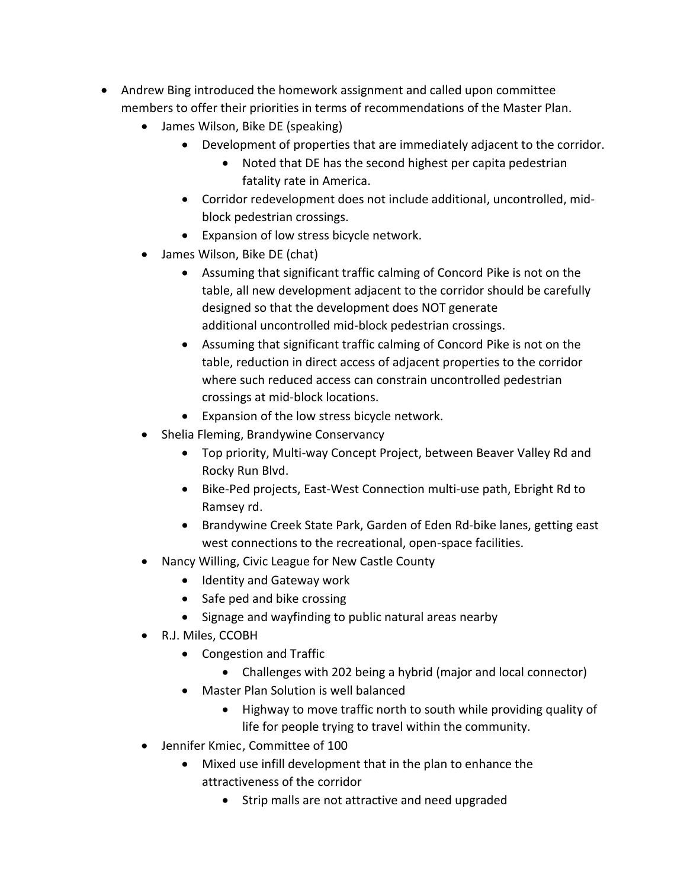- Andrew Bing introduced the homework assignment and called upon committee members to offer their priorities in terms of recommendations of the Master Plan.
	- James Wilson, Bike DE (speaking)
		- Development of properties that are immediately adjacent to the corridor.
			- Noted that DE has the second highest per capita pedestrian fatality rate in America.
		- Corridor redevelopment does not include additional, uncontrolled, midblock pedestrian crossings.
		- Expansion of low stress bicycle network.
	- James Wilson, Bike DE (chat)
		- Assuming that significant traffic calming of Concord Pike is not on the table, all new development adjacent to the corridor should be carefully designed so that the development does NOT generate additional uncontrolled mid-block pedestrian crossings.
		- Assuming that significant traffic calming of Concord Pike is not on the table, reduction in direct access of adjacent properties to the corridor where such reduced access can constrain uncontrolled pedestrian crossings at mid-block locations.
		- Expansion of the low stress bicycle network.
	- Shelia Fleming, Brandywine Conservancy
		- Top priority, Multi-way Concept Project, between Beaver Valley Rd and Rocky Run Blvd.
		- Bike-Ped projects, East-West Connection multi-use path, Ebright Rd to Ramsey rd.
		- Brandywine Creek State Park, Garden of Eden Rd-bike lanes, getting east west connections to the recreational, open-space facilities.
	- Nancy Willing, Civic League for New Castle County
		- Identity and Gateway work
		- Safe ped and bike crossing
		- Signage and wayfinding to public natural areas nearby
	- R.J. Miles, CCOBH
		- Congestion and Traffic
			- Challenges with 202 being a hybrid (major and local connector)
		- Master Plan Solution is well balanced
			- Highway to move traffic north to south while providing quality of life for people trying to travel within the community.
	- Jennifer Kmiec, Committee of 100
		- Mixed use infill development that in the plan to enhance the attractiveness of the corridor
			- Strip malls are not attractive and need upgraded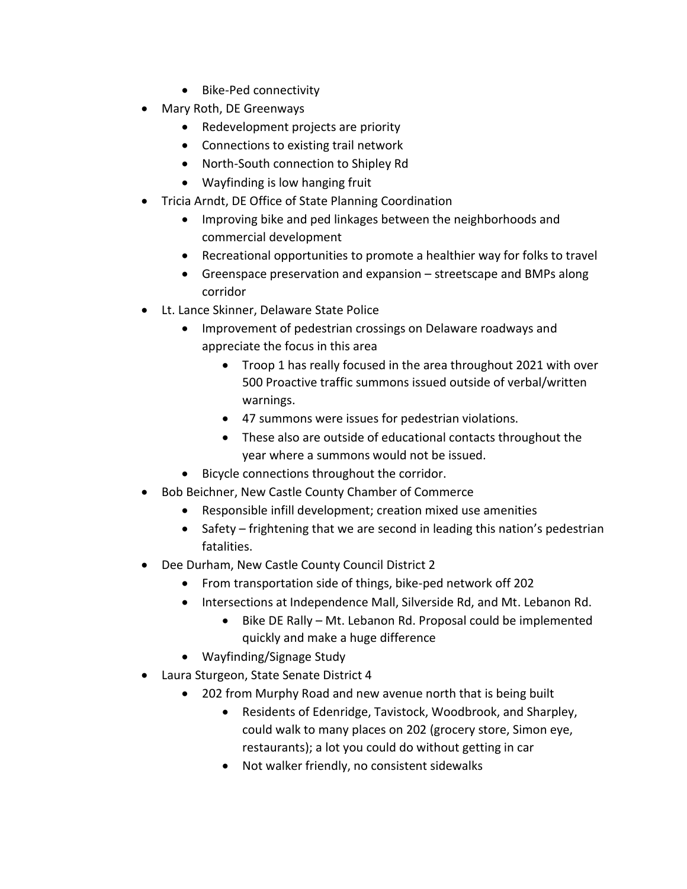- Bike-Ped connectivity
- Mary Roth, DE Greenways
	- Redevelopment projects are priority
	- Connections to existing trail network
	- North-South connection to Shipley Rd
	- Wayfinding is low hanging fruit
- Tricia Arndt, DE Office of State Planning Coordination
	- Improving bike and ped linkages between the neighborhoods and commercial development
	- Recreational opportunities to promote a healthier way for folks to travel
	- Greenspace preservation and expansion streetscape and BMPs along corridor
- Lt. Lance Skinner, Delaware State Police
	- Improvement of pedestrian crossings on Delaware roadways and appreciate the focus in this area
		- Troop 1 has really focused in the area throughout 2021 with over 500 Proactive traffic summons issued outside of verbal/written warnings.
		- 47 summons were issues for pedestrian violations.
		- These also are outside of educational contacts throughout the year where a summons would not be issued.
	- Bicycle connections throughout the corridor.
- Bob Beichner, New Castle County Chamber of Commerce
	- Responsible infill development; creation mixed use amenities
	- Safety frightening that we are second in leading this nation's pedestrian fatalities.
- Dee Durham, New Castle County Council District 2
	- From transportation side of things, bike-ped network off 202
	- Intersections at Independence Mall, Silverside Rd, and Mt. Lebanon Rd.
		- Bike DE Rally Mt. Lebanon Rd. Proposal could be implemented quickly and make a huge difference
	- Wayfinding/Signage Study
- Laura Sturgeon, State Senate District 4
	- 202 from Murphy Road and new avenue north that is being built
		- Residents of Edenridge, Tavistock, Woodbrook, and Sharpley, could walk to many places on 202 (grocery store, Simon eye, restaurants); a lot you could do without getting in car
		- Not walker friendly, no consistent sidewalks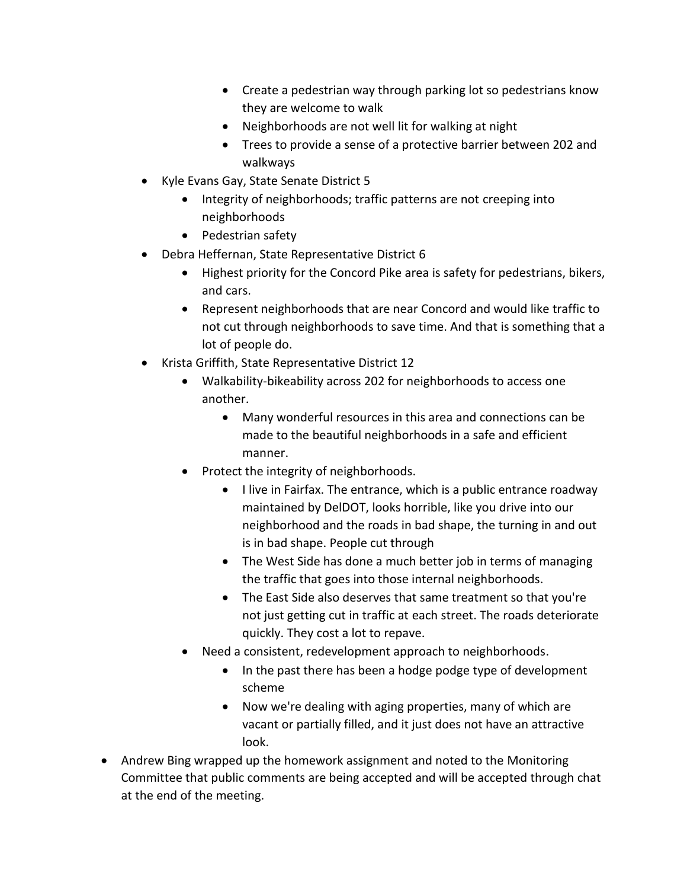- Create a pedestrian way through parking lot so pedestrians know they are welcome to walk
- Neighborhoods are not well lit for walking at night
- Trees to provide a sense of a protective barrier between 202 and walkways
- Kyle Evans Gay, State Senate District 5
	- Integrity of neighborhoods; traffic patterns are not creeping into neighborhoods
	- Pedestrian safety
- Debra Heffernan, State Representative District 6
	- Highest priority for the Concord Pike area is safety for pedestrians, bikers, and cars.
	- Represent neighborhoods that are near Concord and would like traffic to not cut through neighborhoods to save time. And that is something that a lot of people do.
- Krista Griffith, State Representative District 12
	- Walkability-bikeability across 202 for neighborhoods to access one another.
		- Many wonderful resources in this area and connections can be made to the beautiful neighborhoods in a safe and efficient manner.
	- Protect the integrity of neighborhoods.
		- I live in Fairfax. The entrance, which is a public entrance roadway maintained by DelDOT, looks horrible, like you drive into our neighborhood and the roads in bad shape, the turning in and out is in bad shape. People cut through
		- The West Side has done a much better job in terms of managing the traffic that goes into those internal neighborhoods.
		- The East Side also deserves that same treatment so that you're not just getting cut in traffic at each street. The roads deteriorate quickly. They cost a lot to repave.
	- Need a consistent, redevelopment approach to neighborhoods.
		- In the past there has been a hodge podge type of development scheme
		- Now we're dealing with aging properties, many of which are vacant or partially filled, and it just does not have an attractive look.
- Andrew Bing wrapped up the homework assignment and noted to the Monitoring Committee that public comments are being accepted and will be accepted through chat at the end of the meeting.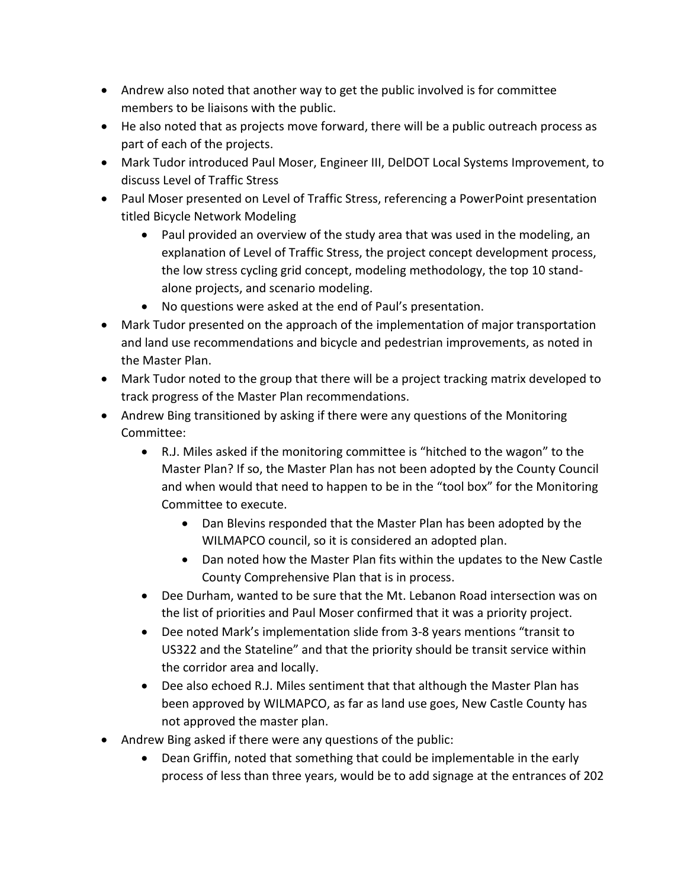- Andrew also noted that another way to get the public involved is for committee members to be liaisons with the public.
- He also noted that as projects move forward, there will be a public outreach process as part of each of the projects.
- Mark Tudor introduced Paul Moser, Engineer III, DelDOT Local Systems Improvement, to discuss Level of Traffic Stress
- Paul Moser presented on Level of Traffic Stress, referencing a PowerPoint presentation titled Bicycle Network Modeling
	- Paul provided an overview of the study area that was used in the modeling, an explanation of Level of Traffic Stress, the project concept development process, the low stress cycling grid concept, modeling methodology, the top 10 standalone projects, and scenario modeling.
	- No questions were asked at the end of Paul's presentation.
- Mark Tudor presented on the approach of the implementation of major transportation and land use recommendations and bicycle and pedestrian improvements, as noted in the Master Plan.
- Mark Tudor noted to the group that there will be a project tracking matrix developed to track progress of the Master Plan recommendations.
- Andrew Bing transitioned by asking if there were any questions of the Monitoring Committee:
	- R.J. Miles asked if the monitoring committee is "hitched to the wagon" to the Master Plan? If so, the Master Plan has not been adopted by the County Council and when would that need to happen to be in the "tool box" for the Monitoring Committee to execute.
		- Dan Blevins responded that the Master Plan has been adopted by the WILMAPCO council, so it is considered an adopted plan.
		- Dan noted how the Master Plan fits within the updates to the New Castle County Comprehensive Plan that is in process.
	- Dee Durham, wanted to be sure that the Mt. Lebanon Road intersection was on the list of priorities and Paul Moser confirmed that it was a priority project.
	- Dee noted Mark's implementation slide from 3-8 years mentions "transit to US322 and the Stateline" and that the priority should be transit service within the corridor area and locally.
	- Dee also echoed R.J. Miles sentiment that that although the Master Plan has been approved by WILMAPCO, as far as land use goes, New Castle County has not approved the master plan.
- Andrew Bing asked if there were any questions of the public:
	- Dean Griffin, noted that something that could be implementable in the early process of less than three years, would be to add signage at the entrances of 202